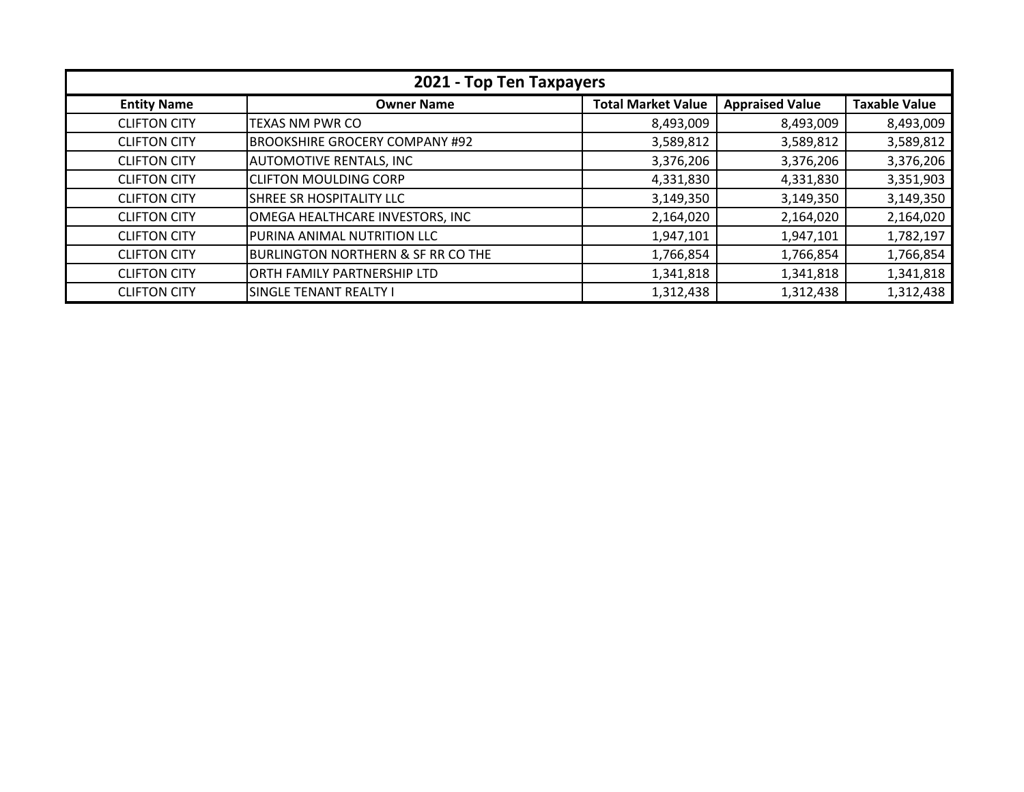| 2021 - Top Ten Taxpayers |                                               |                           |                        |                      |
|--------------------------|-----------------------------------------------|---------------------------|------------------------|----------------------|
| <b>Entity Name</b>       | <b>Owner Name</b>                             | <b>Total Market Value</b> | <b>Appraised Value</b> | <b>Taxable Value</b> |
| <b>CLIFTON CITY</b>      | TEXAS NM PWR CO                               | 8,493,009                 | 8,493,009              | 8,493,009            |
| <b>CLIFTON CITY</b>      | <b>BROOKSHIRE GROCERY COMPANY #92</b>         | 3,589,812                 | 3,589,812              | 3,589,812            |
| <b>CLIFTON CITY</b>      | <b>AUTOMOTIVE RENTALS, INC</b>                | 3,376,206                 | 3,376,206              | 3,376,206            |
| <b>CLIFTON CITY</b>      | <b>CLIFTON MOULDING CORP</b>                  | 4,331,830                 | 4,331,830              | 3,351,903            |
| <b>CLIFTON CITY</b>      | SHREE SR HOSPITALITY LLC                      | 3,149,350                 | 3,149,350              | 3,149,350            |
| <b>CLIFTON CITY</b>      | OMEGA HEALTHCARE INVESTORS, INC               | 2,164,020                 | 2,164,020              | 2,164,020            |
| <b>CLIFTON CITY</b>      | PURINA ANIMAL NUTRITION LLC                   | 1,947,101                 | 1,947,101              | 1,782,197            |
| <b>CLIFTON CITY</b>      | <b>BURLINGTON NORTHERN &amp; SF RR CO THE</b> | 1,766,854                 | 1,766,854              | 1,766,854            |
| <b>CLIFTON CITY</b>      | ORTH FAMILY PARTNERSHIP LTD                   | 1,341,818                 | 1,341,818              | 1,341,818            |
| <b>CLIFTON CITY</b>      | SINGLE TENANT REALTY I                        | 1,312,438                 | 1,312,438              | 1,312,438            |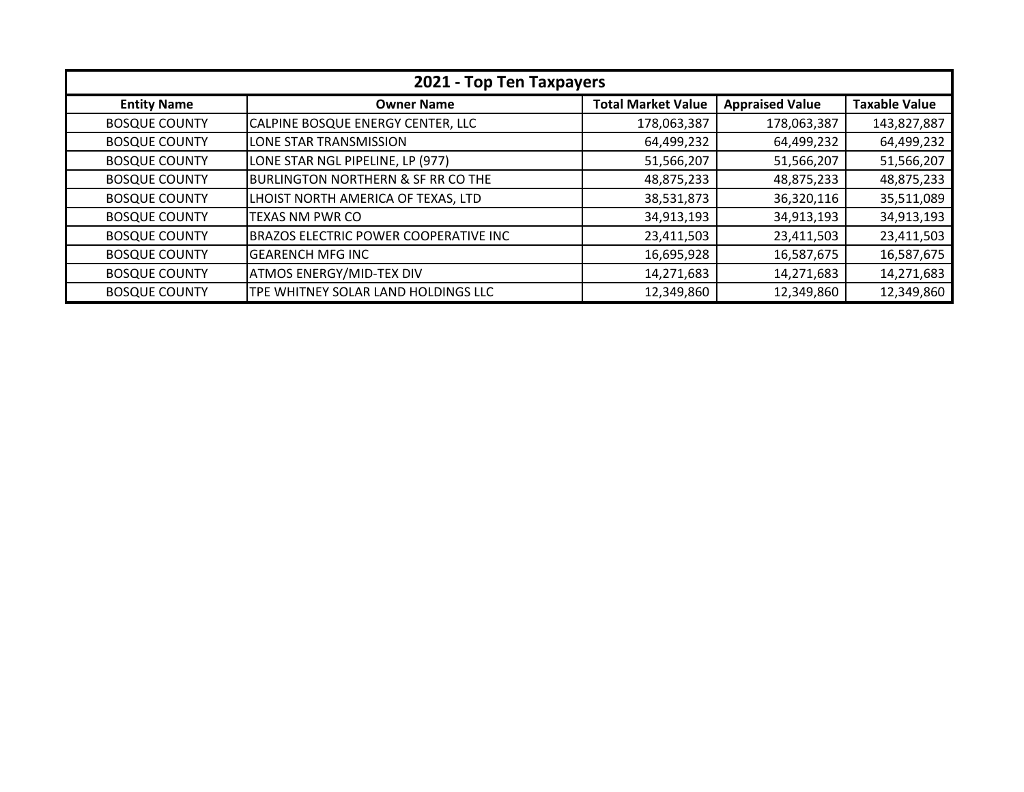| 2021 - Top Ten Taxpayers |                                               |                           |                        |                      |
|--------------------------|-----------------------------------------------|---------------------------|------------------------|----------------------|
| <b>Entity Name</b>       | <b>Owner Name</b>                             | <b>Total Market Value</b> | <b>Appraised Value</b> | <b>Taxable Value</b> |
| <b>BOSQUE COUNTY</b>     | CALPINE BOSQUE ENERGY CENTER, LLC             | 178,063,387               | 178,063,387            | 143,827,887          |
| <b>BOSQUE COUNTY</b>     | LONE STAR TRANSMISSION                        | 64,499,232                | 64,499,232             | 64,499,232           |
| <b>BOSQUE COUNTY</b>     | LONE STAR NGL PIPELINE, LP (977)              | 51,566,207                | 51,566,207             | 51,566,207           |
| <b>BOSQUE COUNTY</b>     | <b>BURLINGTON NORTHERN &amp; SF RR CO THE</b> | 48,875,233                | 48,875,233             | 48,875,233           |
| <b>BOSQUE COUNTY</b>     | LHOIST NORTH AMERICA OF TEXAS, LTD            | 38,531,873                | 36,320,116             | 35,511,089           |
| <b>BOSQUE COUNTY</b>     | TEXAS NM PWR CO                               | 34,913,193                | 34,913,193             | 34,913,193           |
| <b>BOSQUE COUNTY</b>     | <b>BRAZOS ELECTRIC POWER COOPERATIVE INC</b>  | 23,411,503                | 23,411,503             | 23,411,503           |
| <b>BOSQUE COUNTY</b>     | <b>GEARENCH MFG INC</b>                       | 16,695,928                | 16,587,675             | 16,587,675           |
| <b>BOSQUE COUNTY</b>     | <b>ATMOS ENERGY/MID-TEX DIV</b>               | 14,271,683                | 14,271,683             | 14,271,683           |
| <b>BOSQUE COUNTY</b>     | TPE WHITNEY SOLAR LAND HOLDINGS LLC           | 12,349,860                | 12,349,860             | 12,349,860           |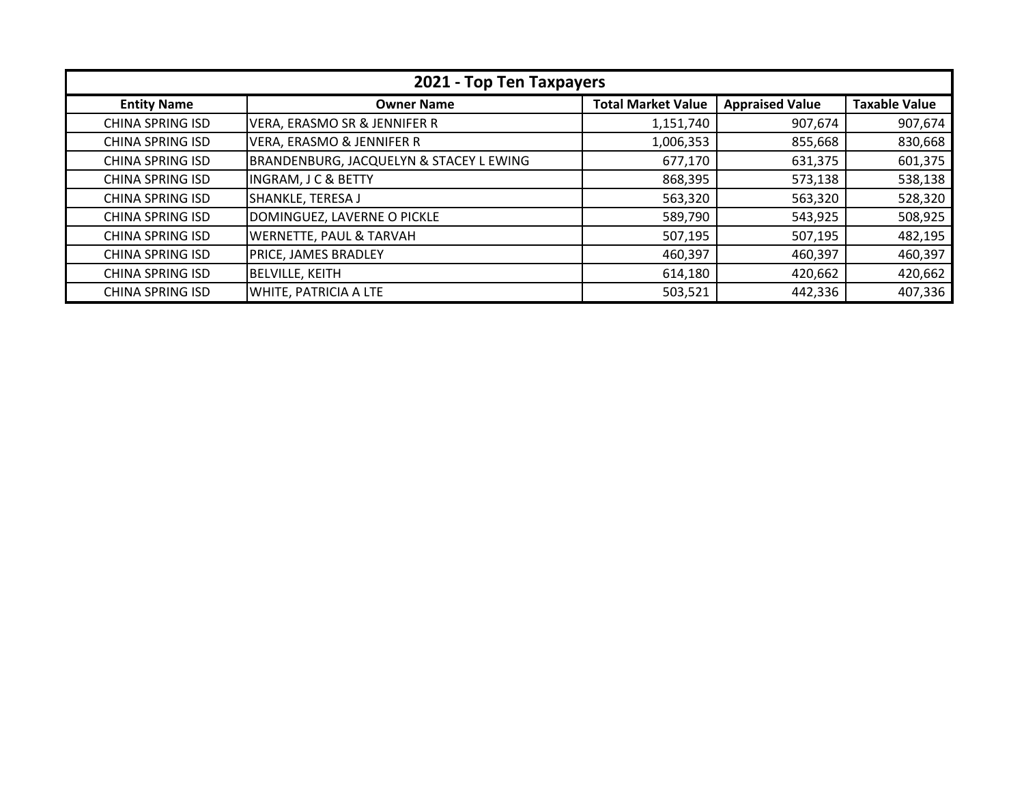| 2021 - Top Ten Taxpayers |                                         |                           |                        |                      |
|--------------------------|-----------------------------------------|---------------------------|------------------------|----------------------|
| <b>Entity Name</b>       | <b>Owner Name</b>                       | <b>Total Market Value</b> | <b>Appraised Value</b> | <b>Taxable Value</b> |
| <b>CHINA SPRING ISD</b>  | VERA, ERASMO SR & JENNIFER R            | 1,151,740                 | 907,674                | 907,674              |
| <b>CHINA SPRING ISD</b>  | <b>VERA, ERASMO &amp; JENNIFER R</b>    | 1,006,353                 | 855,668                | 830,668              |
| <b>CHINA SPRING ISD</b>  | BRANDENBURG, JACQUELYN & STACEY L EWING | 677,170                   | 631,375                | 601,375              |
| <b>CHINA SPRING ISD</b>  | <b>INGRAM, J C &amp; BETTY</b>          | 868,395                   | 573,138                | 538,138              |
| <b>CHINA SPRING ISD</b>  | SHANKLE, TERESA J                       | 563,320                   | 563,320                | 528,320              |
| <b>CHINA SPRING ISD</b>  | DOMINGUEZ, LAVERNE O PICKLE             | 589,790                   | 543,925                | 508,925              |
| <b>CHINA SPRING ISD</b>  | WERNETTE, PAUL & TARVAH                 | 507,195                   | 507,195                | 482,195              |
| <b>CHINA SPRING ISD</b>  | <b>PRICE, JAMES BRADLEY</b>             | 460,397                   | 460,397                | 460,397              |
| <b>CHINA SPRING ISD</b>  | <b>BELVILLE, KEITH</b>                  | 614,180                   | 420,662                | 420,662              |
| <b>CHINA SPRING ISD</b>  | WHITE, PATRICIA A LTE                   | 503,521                   | 442,336                | 407,336              |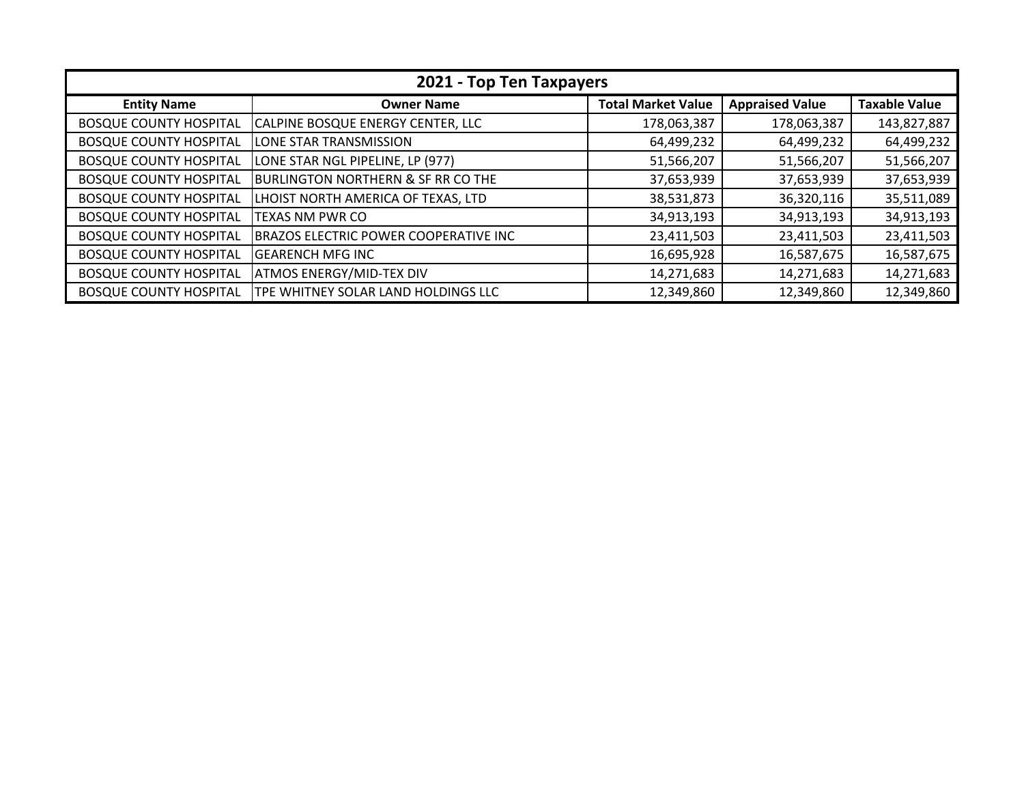| 2021 - Top Ten Taxpayers      |                                               |                           |                        |                      |
|-------------------------------|-----------------------------------------------|---------------------------|------------------------|----------------------|
| <b>Entity Name</b>            | <b>Owner Name</b>                             | <b>Total Market Value</b> | <b>Appraised Value</b> | <b>Taxable Value</b> |
| <b>BOSQUE COUNTY HOSPITAL</b> | CALPINE BOSQUE ENERGY CENTER, LLC             | 178,063,387               | 178,063,387            | 143,827,887          |
| <b>BOSQUE COUNTY HOSPITAL</b> | LONE STAR TRANSMISSION                        | 64,499,232                | 64,499,232             | 64,499,232           |
| <b>BOSQUE COUNTY HOSPITAL</b> | LONE STAR NGL PIPELINE, LP (977)              | 51,566,207                | 51,566,207             | 51,566,207           |
| <b>BOSQUE COUNTY HOSPITAL</b> | <b>BURLINGTON NORTHERN &amp; SF RR CO THE</b> | 37,653,939                | 37,653,939             | 37,653,939           |
| <b>BOSQUE COUNTY HOSPITAL</b> | LHOIST NORTH AMERICA OF TEXAS, LTD            | 38,531,873                | 36,320,116             | 35,511,089           |
| <b>BOSQUE COUNTY HOSPITAL</b> | <b>TEXAS NM PWR CO</b>                        | 34,913,193                | 34,913,193             | 34,913,193           |
| <b>BOSQUE COUNTY HOSPITAL</b> | <b>BRAZOS ELECTRIC POWER COOPERATIVE INC</b>  | 23,411,503                | 23,411,503             | 23,411,503           |
| <b>BOSQUE COUNTY HOSPITAL</b> | <b>GEARENCH MFG INC</b>                       | 16,695,928                | 16,587,675             | 16,587,675           |
| <b>BOSQUE COUNTY HOSPITAL</b> | <b>ATMOS ENERGY/MID-TEX DIV</b>               | 14,271,683                | 14,271,683             | 14,271,683           |
| <b>BOSQUE COUNTY HOSPITAL</b> | TPE WHITNEY SOLAR LAND HOLDINGS LLC           | 12,349,860                | 12,349,860             | 12,349,860           |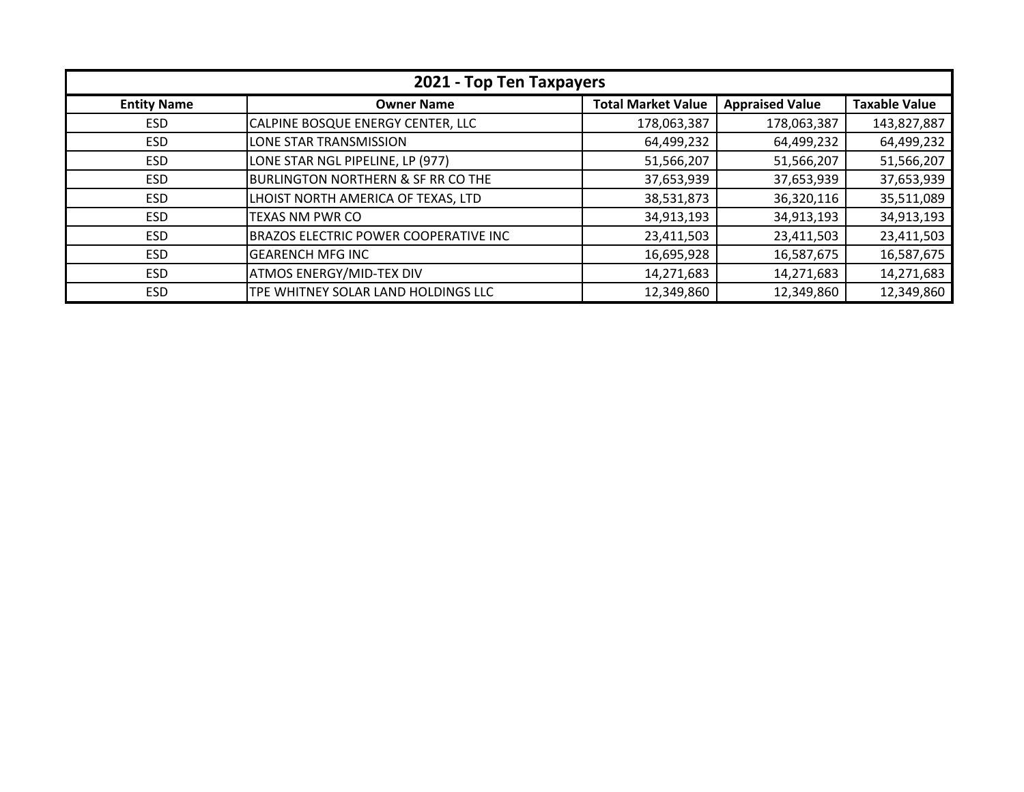| 2021 - Top Ten Taxpayers |                                               |                           |                        |                      |
|--------------------------|-----------------------------------------------|---------------------------|------------------------|----------------------|
| <b>Entity Name</b>       | <b>Owner Name</b>                             | <b>Total Market Value</b> | <b>Appraised Value</b> | <b>Taxable Value</b> |
| ESD.                     | CALPINE BOSQUE ENERGY CENTER, LLC             | 178,063,387               | 178,063,387            | 143,827,887          |
| ESD.                     | LONE STAR TRANSMISSION                        | 64,499,232                | 64,499,232             | 64,499,232           |
| <b>ESD</b>               | LONE STAR NGL PIPELINE, LP (977)              | 51,566,207                | 51,566,207             | 51,566,207           |
| <b>ESD</b>               | <b>BURLINGTON NORTHERN &amp; SF RR CO THE</b> | 37,653,939                | 37,653,939             | 37,653,939           |
| <b>ESD</b>               | LHOIST NORTH AMERICA OF TEXAS, LTD            | 38,531,873                | 36,320,116             | 35,511,089           |
| <b>ESD</b>               | TEXAS NM PWR CO                               | 34,913,193                | 34,913,193             | 34,913,193           |
| <b>ESD</b>               | <b>BRAZOS ELECTRIC POWER COOPERATIVE INC</b>  | 23,411,503                | 23,411,503             | 23,411,503           |
| <b>ESD</b>               | <b>GEARENCH MFG INC</b>                       | 16,695,928                | 16,587,675             | 16,587,675           |
| <b>ESD</b>               | <b>ATMOS ENERGY/MID-TEX DIV</b>               | 14,271,683                | 14,271,683             | 14,271,683           |
| <b>ESD</b>               | TPE WHITNEY SOLAR LAND HOLDINGS LLC           | 12,349,860                | 12,349,860             | 12,349,860           |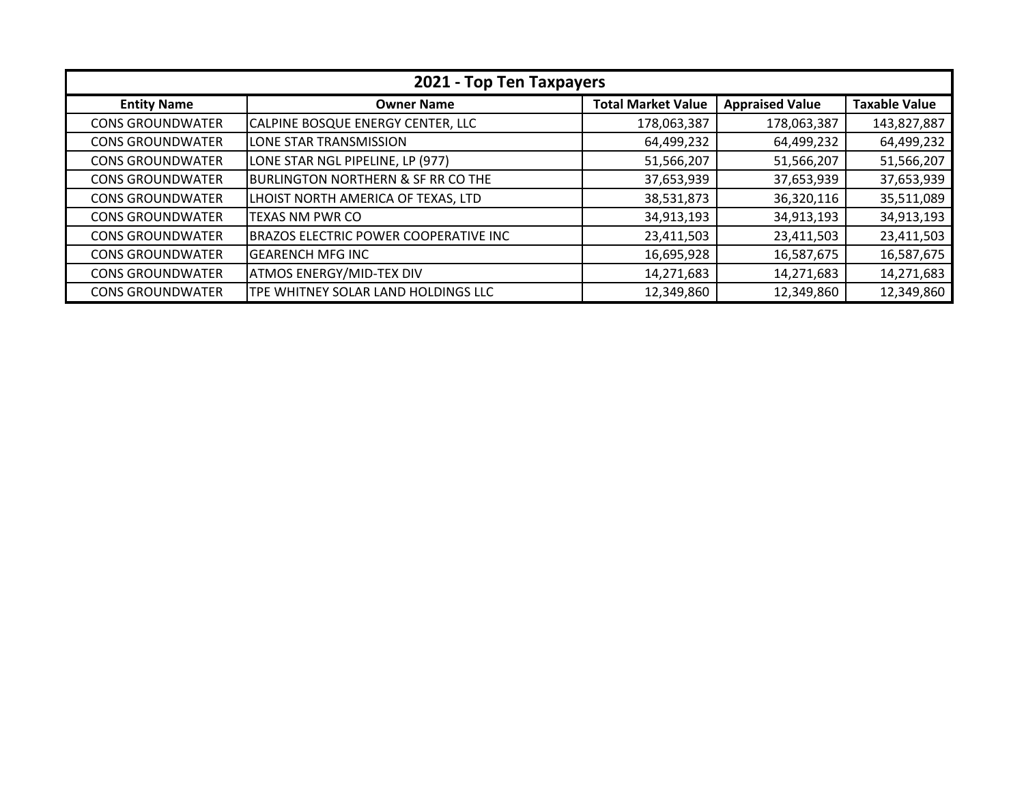| 2021 - Top Ten Taxpayers |                                               |                           |                        |                      |
|--------------------------|-----------------------------------------------|---------------------------|------------------------|----------------------|
| <b>Entity Name</b>       | <b>Owner Name</b>                             | <b>Total Market Value</b> | <b>Appraised Value</b> | <b>Taxable Value</b> |
| <b>CONS GROUNDWATER</b>  | CALPINE BOSQUE ENERGY CENTER, LLC             | 178,063,387               | 178,063,387            | 143,827,887          |
| <b>CONS GROUNDWATER</b>  | LONE STAR TRANSMISSION                        | 64,499,232                | 64,499,232             | 64,499,232           |
| <b>CONS GROUNDWATER</b>  | LONE STAR NGL PIPELINE, LP (977)              | 51,566,207                | 51,566,207             | 51,566,207           |
| <b>CONS GROUNDWATER</b>  | <b>BURLINGTON NORTHERN &amp; SF RR CO THE</b> | 37,653,939                | 37,653,939             | 37,653,939           |
| <b>CONS GROUNDWATER</b>  | LHOIST NORTH AMERICA OF TEXAS, LTD            | 38,531,873                | 36,320,116             | 35,511,089           |
| <b>CONS GROUNDWATER</b>  | TEXAS NM PWR CO                               | 34,913,193                | 34,913,193             | 34,913,193           |
| <b>CONS GROUNDWATER</b>  | BRAZOS ELECTRIC POWER COOPERATIVE INC         | 23,411,503                | 23,411,503             | 23,411,503           |
| <b>CONS GROUNDWATER</b>  | <b>GEARENCH MFG INC</b>                       | 16,695,928                | 16,587,675             | 16,587,675           |
| <b>CONS GROUNDWATER</b>  | <b>ATMOS ENERGY/MID-TEX DIV</b>               | 14,271,683                | 14,271,683             | 14,271,683           |
| <b>CONS GROUNDWATER</b>  | TPE WHITNEY SOLAR LAND HOLDINGS LLC           | 12,349,860                | 12,349,860             | 12,349,860           |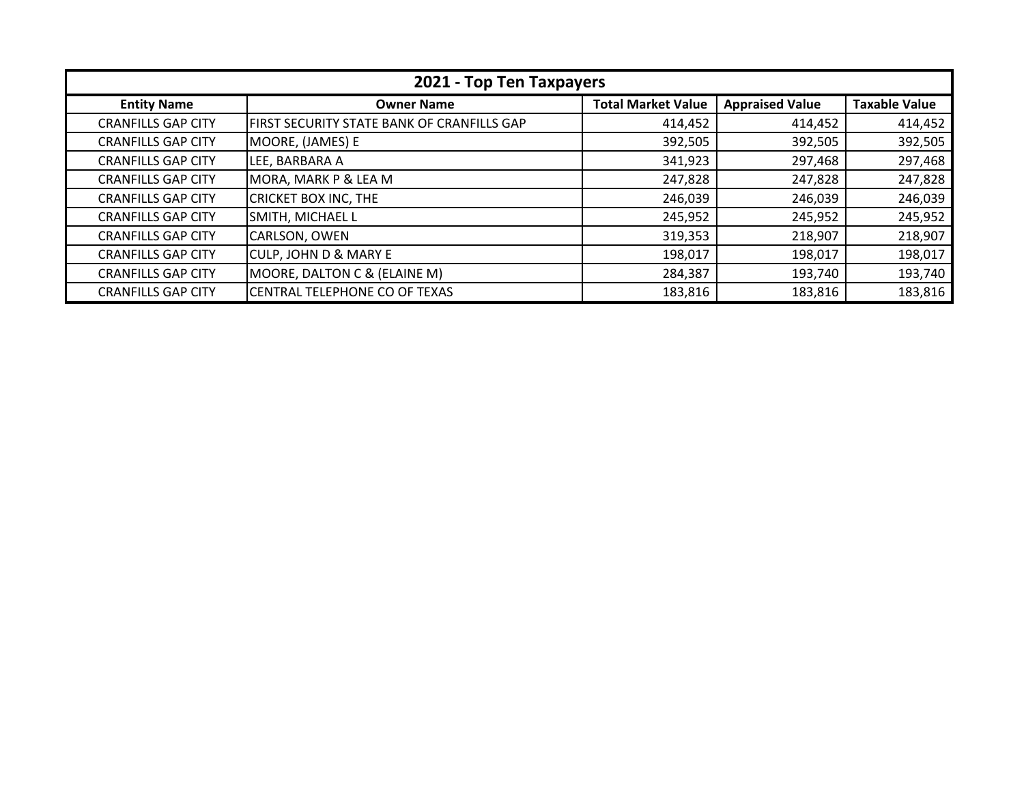| 2021 - Top Ten Taxpayers  |                                            |                           |                        |                      |
|---------------------------|--------------------------------------------|---------------------------|------------------------|----------------------|
| <b>Entity Name</b>        | <b>Owner Name</b>                          | <b>Total Market Value</b> | <b>Appraised Value</b> | <b>Taxable Value</b> |
| <b>CRANFILLS GAP CITY</b> | FIRST SECURITY STATE BANK OF CRANFILLS GAP | 414,452                   | 414,452                | 414,452              |
| <b>CRANFILLS GAP CITY</b> | MOORE, (JAMES) E                           | 392,505                   | 392,505                | 392,505              |
| <b>CRANFILLS GAP CITY</b> | LEE, BARBARA A                             | 341,923                   | 297,468                | 297,468              |
| <b>CRANFILLS GAP CITY</b> | MORA, MARK P & LEA M                       | 247,828                   | 247,828                | 247,828              |
| <b>CRANFILLS GAP CITY</b> | <b>CRICKET BOX INC, THE</b>                | 246,039                   | 246,039                | 246,039              |
| <b>CRANFILLS GAP CITY</b> | SMITH, MICHAEL L                           | 245,952                   | 245,952                | 245,952              |
| <b>CRANFILLS GAP CITY</b> | CARLSON, OWEN                              | 319,353                   | 218,907                | 218,907              |
| <b>CRANFILLS GAP CITY</b> | <b>CULP, JOHN D &amp; MARY E</b>           | 198,017                   | 198,017                | 198,017              |
| <b>CRANFILLS GAP CITY</b> | MOORE, DALTON C & (ELAINE M)               | 284,387                   | 193,740                | 193,740              |
| <b>CRANFILLS GAP CITY</b> | CENTRAL TELEPHONE CO OF TEXAS              | 183,816                   | 183,816                | 183,816              |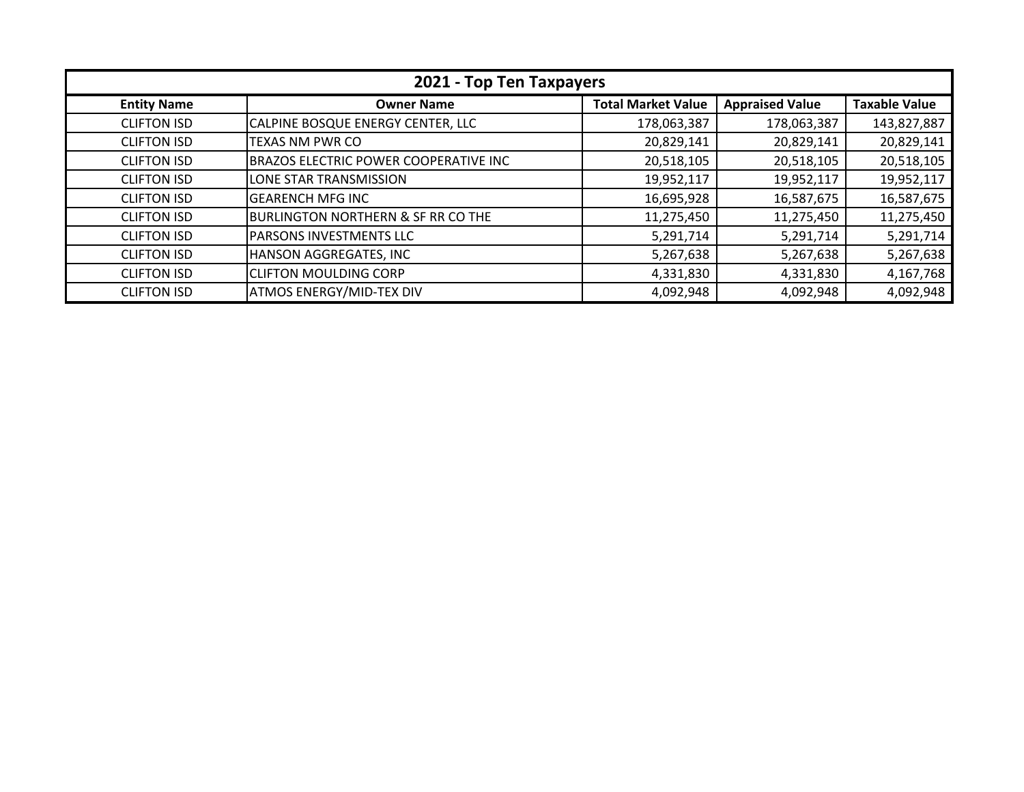| 2021 - Top Ten Taxpayers |                                              |                           |                        |                      |
|--------------------------|----------------------------------------------|---------------------------|------------------------|----------------------|
| <b>Entity Name</b>       | <b>Owner Name</b>                            | <b>Total Market Value</b> | <b>Appraised Value</b> | <b>Taxable Value</b> |
| <b>CLIFTON ISD</b>       | CALPINE BOSQUE ENERGY CENTER, LLC            | 178,063,387               | 178,063,387            | 143,827,887          |
| <b>CLIFTON ISD</b>       | <b>TEXAS NM PWR CO</b>                       | 20,829,141                | 20,829,141             | 20,829,141           |
| <b>CLIFTON ISD</b>       | <b>BRAZOS ELECTRIC POWER COOPERATIVE INC</b> | 20,518,105                | 20,518,105             | 20,518,105           |
| <b>CLIFTON ISD</b>       | LONE STAR TRANSMISSION                       | 19,952,117                | 19,952,117             | 19,952,117           |
| <b>CLIFTON ISD</b>       | <b>GEARENCH MFG INC</b>                      | 16,695,928                | 16,587,675             | 16,587,675           |
| <b>CLIFTON ISD</b>       | BURLINGTON NORTHERN & SF RR CO THE           | 11,275,450                | 11,275,450             | 11,275,450           |
| <b>CLIFTON ISD</b>       | <b>PARSONS INVESTMENTS LLC</b>               | 5,291,714                 | 5,291,714              | 5,291,714            |
| <b>CLIFTON ISD</b>       | HANSON AGGREGATES, INC                       | 5,267,638                 | 5,267,638              | 5,267,638            |
| <b>CLIFTON ISD</b>       | <b>CLIFTON MOULDING CORP</b>                 | 4,331,830                 | 4,331,830              | 4,167,768            |
| <b>CLIFTON ISD</b>       | <b>ATMOS ENERGY/MID-TEX DIV</b>              | 4,092,948                 | 4,092,948              | 4,092,948            |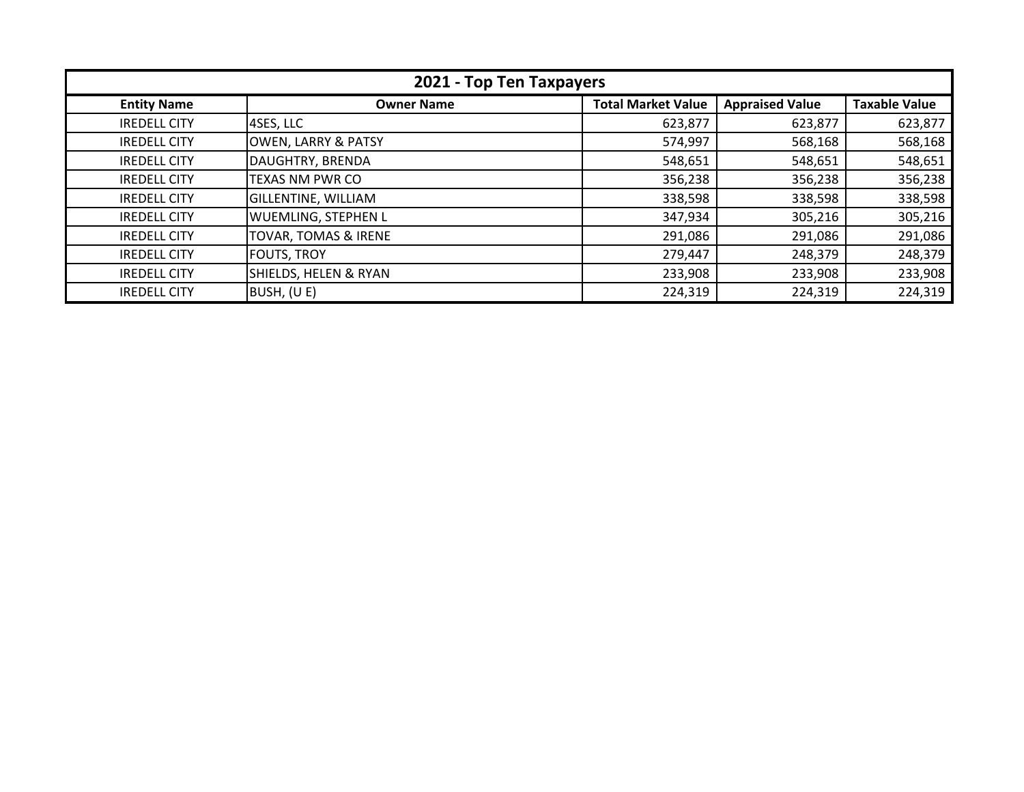| 2021 - Top Ten Taxpayers |                                  |                           |                        |                      |
|--------------------------|----------------------------------|---------------------------|------------------------|----------------------|
| <b>Entity Name</b>       | <b>Owner Name</b>                | <b>Total Market Value</b> | <b>Appraised Value</b> | <b>Taxable Value</b> |
| <b>IREDELL CITY</b>      | 4SES, LLC                        | 623,877                   | 623,877                | 623,877              |
| <b>IREDELL CITY</b>      | <b>OWEN, LARRY &amp; PATSY</b>   | 574,997                   | 568,168                | 568,168              |
| <b>IREDELL CITY</b>      | DAUGHTRY, BRENDA                 | 548,651                   | 548,651                | 548,651              |
| <b>IREDELL CITY</b>      | <b>TEXAS NM PWR CO</b>           | 356,238                   | 356,238                | 356,238              |
| <b>IREDELL CITY</b>      | <b>GILLENTINE, WILLIAM</b>       | 338,598                   | 338,598                | 338,598              |
| <b>IREDELL CITY</b>      | WUEMLING, STEPHEN L              | 347,934                   | 305,216                | 305,216              |
| <b>IREDELL CITY</b>      | TOVAR, TOMAS & IRENE             | 291,086                   | 291,086                | 291,086              |
| <b>IREDELL CITY</b>      | <b>FOUTS, TROY</b>               | 279,447                   | 248,379                | 248,379              |
| <b>IREDELL CITY</b>      | <b>SHIELDS, HELEN &amp; RYAN</b> | 233,908                   | 233,908                | 233,908              |
| <b>IREDELL CITY</b>      | BUSH, (U E)                      | 224,319                   | 224,319                | 224,319              |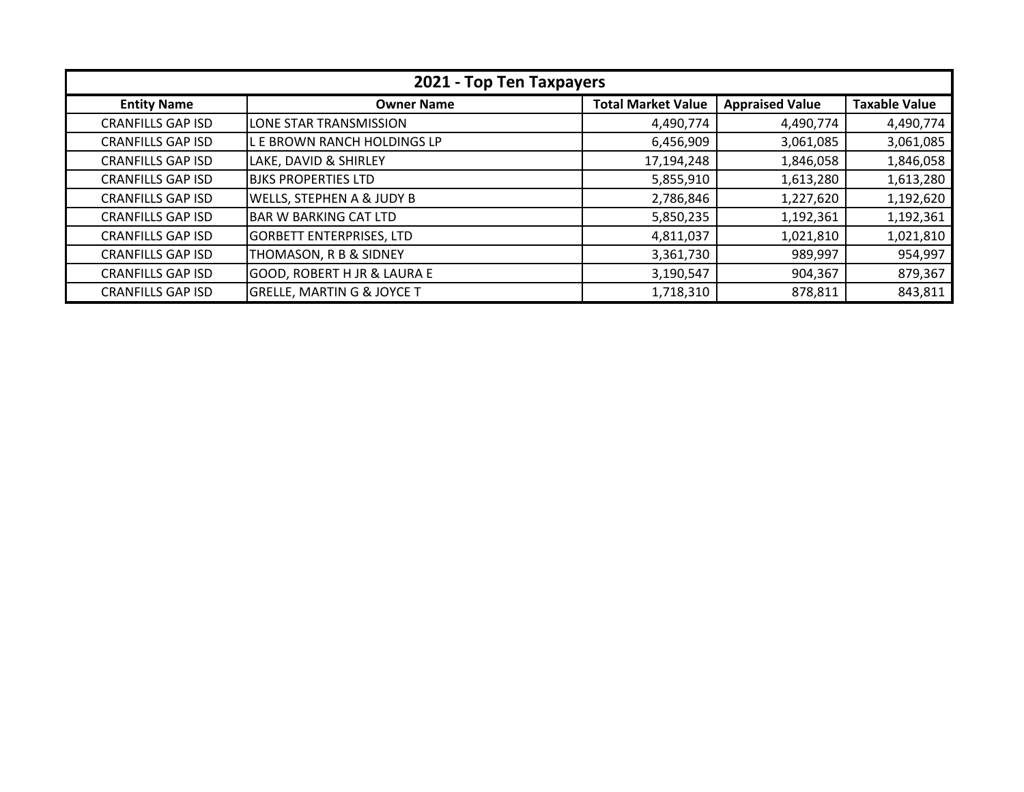| 2021 - Top Ten Taxpayers |                                        |                           |                        |                      |
|--------------------------|----------------------------------------|---------------------------|------------------------|----------------------|
| <b>Entity Name</b>       | <b>Owner Name</b>                      | <b>Total Market Value</b> | <b>Appraised Value</b> | <b>Taxable Value</b> |
| <b>CRANFILLS GAP ISD</b> | LONE STAR TRANSMISSION                 | 4,490,774                 | 4,490,774              | 4,490,774            |
| <b>CRANFILLS GAP ISD</b> | L E BROWN RANCH HOLDINGS LP            | 6,456,909                 | 3,061,085              | 3,061,085            |
| <b>CRANFILLS GAP ISD</b> | LAKE, DAVID & SHIRLEY                  | 17,194,248                | 1,846,058              | 1,846,058            |
| <b>CRANFILLS GAP ISD</b> | <b>BJKS PROPERTIES LTD</b>             | 5,855,910                 | 1,613,280              | 1,613,280            |
| <b>CRANFILLS GAP ISD</b> | WELLS, STEPHEN A & JUDY B              | 2,786,846                 | 1,227,620              | 1,192,620            |
| <b>CRANFILLS GAP ISD</b> | <b>BAR W BARKING CAT LTD</b>           | 5,850,235                 | 1,192,361              | 1,192,361            |
| <b>CRANFILLS GAP ISD</b> | <b>GORBETT ENTERPRISES, LTD</b>        | 4,811,037                 | 1,021,810              | 1,021,810            |
| <b>CRANFILLS GAP ISD</b> | THOMASON, R B & SIDNEY                 | 3,361,730                 | 989,997                | 954,997              |
| <b>CRANFILLS GAP ISD</b> | <b>GOOD, ROBERT H JR &amp; LAURA E</b> | 3,190,547                 | 904,367                | 879,367              |
| <b>CRANFILLS GAP ISD</b> | <b>GRELLE, MARTIN G &amp; JOYCE T</b>  | 1,718,310                 | 878,811                | 843,811              |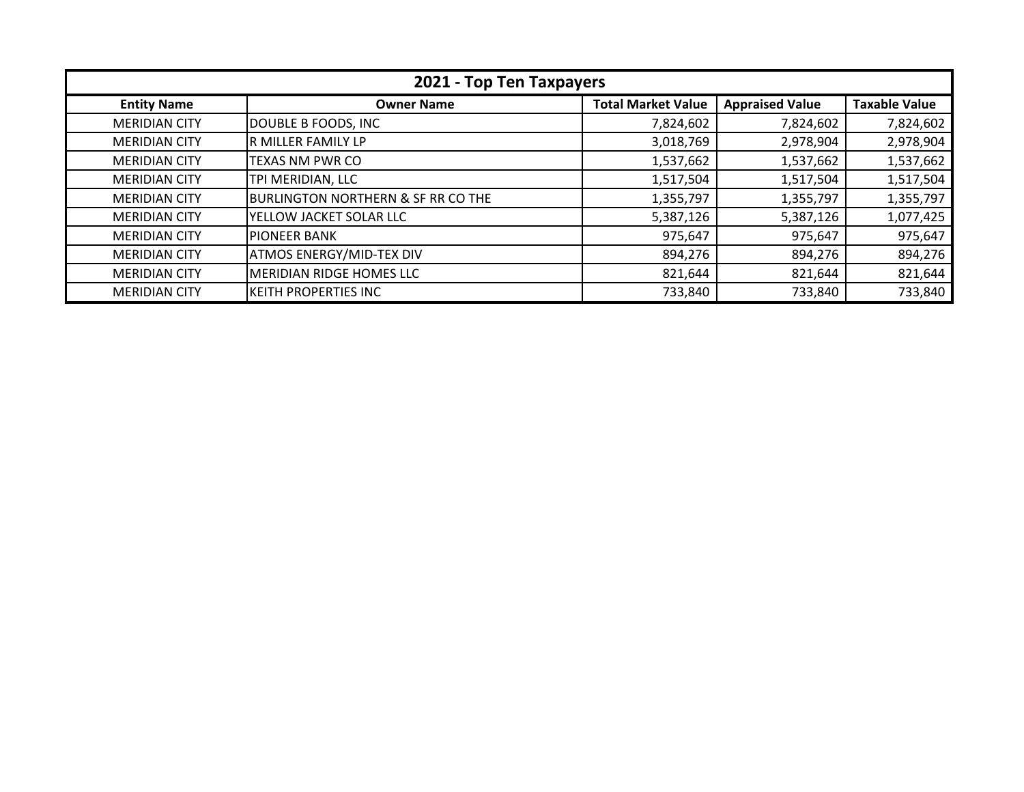| 2021 - Top Ten Taxpayers |                                               |                           |                        |                      |
|--------------------------|-----------------------------------------------|---------------------------|------------------------|----------------------|
| <b>Entity Name</b>       | <b>Owner Name</b>                             | <b>Total Market Value</b> | <b>Appraised Value</b> | <b>Taxable Value</b> |
| <b>MERIDIAN CITY</b>     | DOUBLE B FOODS, INC                           | 7,824,602                 | 7,824,602              | 7,824,602            |
| <b>MERIDIAN CITY</b>     | R MILLER FAMILY LP                            | 3,018,769                 | 2,978,904              | 2,978,904            |
| <b>MERIDIAN CITY</b>     | TEXAS NM PWR CO                               | 1,537,662                 | 1,537,662              | 1,537,662            |
| <b>MERIDIAN CITY</b>     | TPI MERIDIAN, LLC                             | 1,517,504                 | 1,517,504              | 1,517,504            |
| <b>MERIDIAN CITY</b>     | <b>BURLINGTON NORTHERN &amp; SF RR CO THE</b> | 1,355,797                 | 1,355,797              | 1,355,797            |
| <b>MERIDIAN CITY</b>     | YELLOW JACKET SOLAR LLC                       | 5,387,126                 | 5,387,126              | 1,077,425            |
| <b>MERIDIAN CITY</b>     | <b>IPIONEER BANK</b>                          | 975,647                   | 975,647                | 975,647              |
| <b>MERIDIAN CITY</b>     | <b>ATMOS ENERGY/MID-TEX DIV</b>               | 894,276                   | 894,276                | 894,276              |
| <b>MERIDIAN CITY</b>     | <b>MERIDIAN RIDGE HOMES LLC</b>               | 821,644                   | 821,644                | 821,644              |
| <b>MERIDIAN CITY</b>     | <b>KEITH PROPERTIES INC</b>                   | 733,840                   | 733,840                | 733,840              |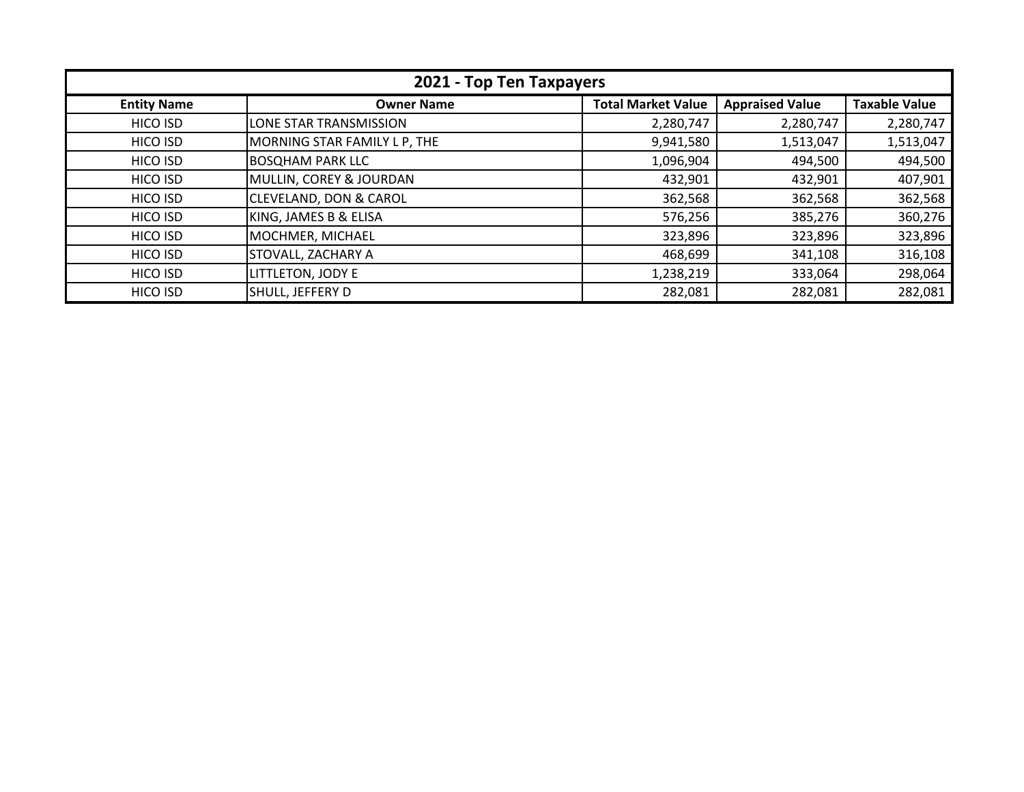| 2021 - Top Ten Taxpayers |                                   |                           |                        |                      |
|--------------------------|-----------------------------------|---------------------------|------------------------|----------------------|
| <b>Entity Name</b>       | <b>Owner Name</b>                 | <b>Total Market Value</b> | <b>Appraised Value</b> | <b>Taxable Value</b> |
| HICO ISD                 | LONE STAR TRANSMISSION            | 2,280,747                 | 2,280,747              | 2,280,747            |
| HICO ISD                 | MORNING STAR FAMILY L P, THE      | 9,941,580                 | 1,513,047              | 1,513,047            |
| HICO ISD                 | <b>BOSQHAM PARK LLC</b>           | 1,096,904                 | 494,500                | 494,500              |
| HICO ISD                 | MULLIN, COREY & JOURDAN           | 432,901                   | 432,901                | 407,901              |
| HICO ISD                 | <b>CLEVELAND, DON &amp; CAROL</b> | 362,568                   | 362,568                | 362,568              |
| HICO ISD                 | KING, JAMES B & ELISA             | 576,256                   | 385,276                | 360,276              |
| HICO ISD                 | MOCHMER, MICHAEL                  | 323,896                   | 323,896                | 323,896              |
| HICO ISD                 | <b>STOVALL, ZACHARY A</b>         | 468,699                   | 341,108                | 316,108              |
| HICO ISD                 | LITTLETON, JODY E                 | 1,238,219                 | 333,064                | 298,064              |
| <b>HICO ISD</b>          | SHULL, JEFFERY D                  | 282,081                   | 282,081                | 282,081              |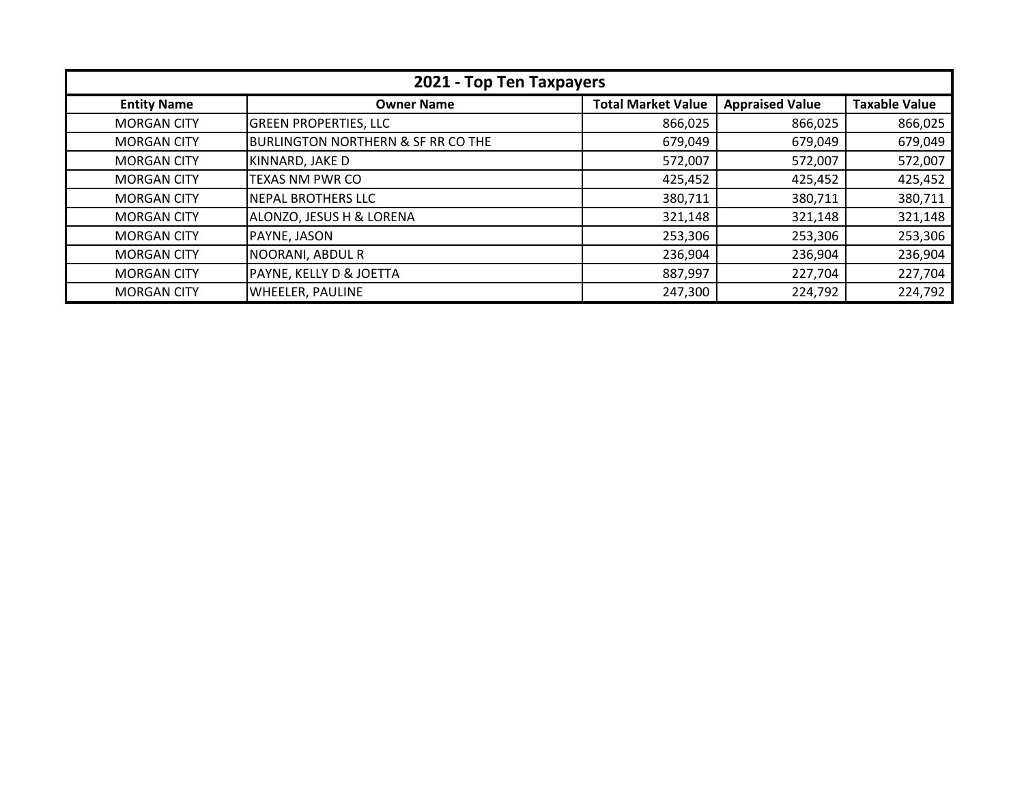| 2021 - Top Ten Taxpayers |                                               |                           |                        |                      |
|--------------------------|-----------------------------------------------|---------------------------|------------------------|----------------------|
| <b>Entity Name</b>       | <b>Owner Name</b>                             | <b>Total Market Value</b> | <b>Appraised Value</b> | <b>Taxable Value</b> |
| <b>MORGAN CITY</b>       | <b>GREEN PROPERTIES, LLC</b>                  | 866,025                   | 866,025                | 866,025              |
| <b>MORGAN CITY</b>       | <b>BURLINGTON NORTHERN &amp; SF RR CO THE</b> | 679,049                   | 679,049                | 679,049              |
| <b>MORGAN CITY</b>       | KINNARD, JAKE D                               | 572,007                   | 572,007                | 572,007              |
| <b>MORGAN CITY</b>       | <b>TEXAS NM PWR CO</b>                        | 425,452                   | 425,452                | 425,452              |
| <b>MORGAN CITY</b>       | NEPAL BROTHERS LLC                            | 380,711                   | 380,711                | 380,711              |
| <b>MORGAN CITY</b>       | ALONZO, JESUS H & LORENA                      | 321,148                   | 321,148                | 321,148              |
| <b>MORGAN CITY</b>       | PAYNE, JASON                                  | 253,306                   | 253,306                | 253,306              |
| <b>MORGAN CITY</b>       | NOORANI, ABDUL R                              | 236,904                   | 236,904                | 236,904              |
| <b>MORGAN CITY</b>       | PAYNE, KELLY D & JOETTA                       | 887,997                   | 227,704                | 227,704              |
| <b>MORGAN CITY</b>       | <b>WHEELER, PAULINE</b>                       | 247,300                   | 224,792                | 224,792              |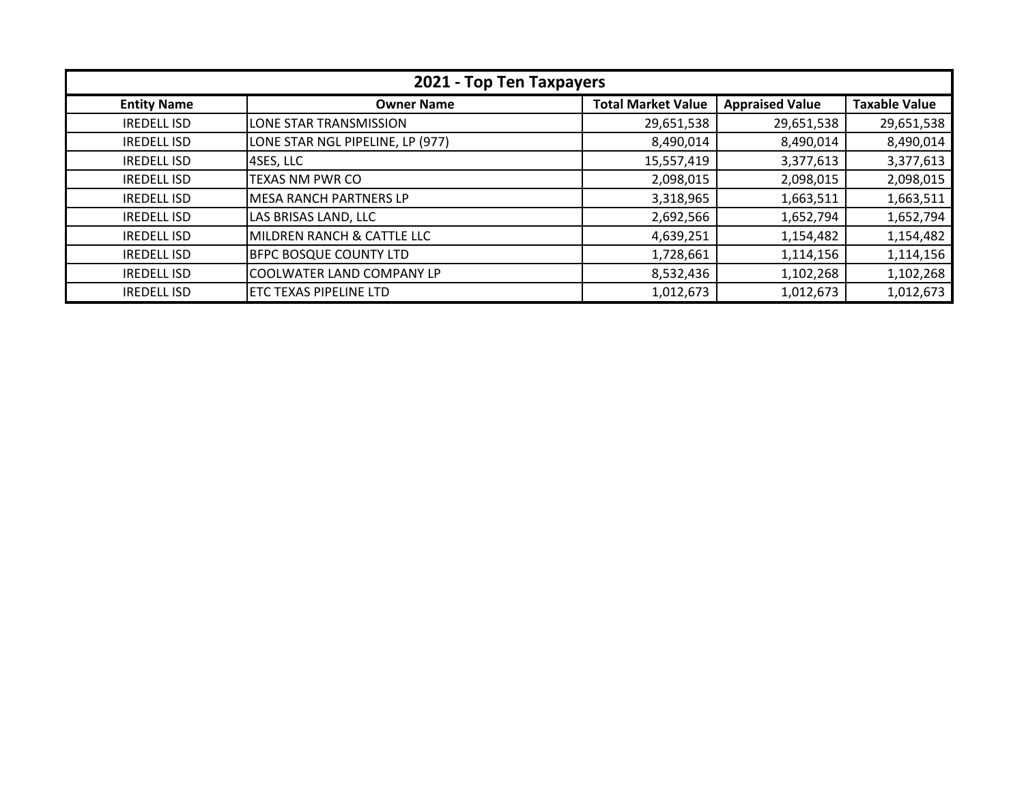| 2021 - Top Ten Taxpayers |                                  |                           |                        |                      |
|--------------------------|----------------------------------|---------------------------|------------------------|----------------------|
| <b>Entity Name</b>       | <b>Owner Name</b>                | <b>Total Market Value</b> | <b>Appraised Value</b> | <b>Taxable Value</b> |
| <b>IREDELL ISD</b>       | <b>LONE STAR TRANSMISSION</b>    | 29,651,538                | 29,651,538             | 29,651,538           |
| <b>IREDELL ISD</b>       | LONE STAR NGL PIPELINE, LP (977) | 8,490,014                 | 8,490,014              | 8,490,014            |
| <b>IREDELL ISD</b>       | 4SES, LLC                        | 15,557,419                | 3,377,613              | 3,377,613            |
| <b>IREDELL ISD</b>       | <b>TEXAS NM PWR CO</b>           | 2,098,015                 | 2,098,015              | 2,098,015            |
| <b>IREDELL ISD</b>       | <b>MESA RANCH PARTNERS LP</b>    | 3,318,965                 | 1,663,511              | 1,663,511            |
| <b>IREDELL ISD</b>       | LAS BRISAS LAND, LLC             | 2,692,566                 | 1,652,794              | 1,652,794            |
| <b>IREDELL ISD</b>       | MILDREN RANCH & CATTLE LLC       | 4,639,251                 | 1,154,482              | 1,154,482            |
| <b>IREDELL ISD</b>       | <b>BFPC BOSQUE COUNTY LTD</b>    | 1,728,661                 | 1,114,156              | 1,114,156            |
| <b>IREDELL ISD</b>       | COOLWATER LAND COMPANY LP        | 8,532,436                 | 1,102,268              | 1,102,268            |
| <b>IREDELL ISD</b>       | <b>ETC TEXAS PIPELINE LTD</b>    | 1,012,673                 | 1,012,673              | 1,012,673            |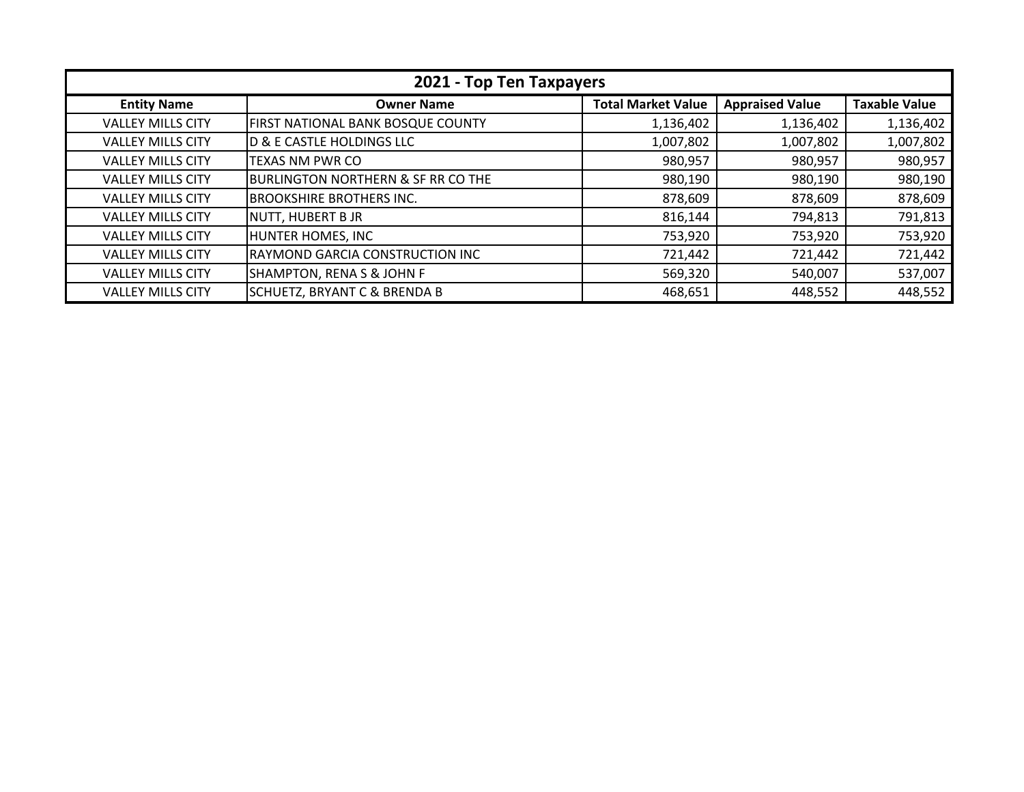| 2021 - Top Ten Taxpayers |                                               |                           |                        |                      |
|--------------------------|-----------------------------------------------|---------------------------|------------------------|----------------------|
| <b>Entity Name</b>       | <b>Owner Name</b>                             | <b>Total Market Value</b> | <b>Appraised Value</b> | <b>Taxable Value</b> |
| <b>VALLEY MILLS CITY</b> | FIRST NATIONAL BANK BOSQUE COUNTY             | 1,136,402                 | 1,136,402              | 1,136,402            |
| <b>VALLEY MILLS CITY</b> | <b>D &amp; E CASTLE HOLDINGS LLC</b>          | 1,007,802                 | 1,007,802              | 1,007,802            |
| <b>VALLEY MILLS CITY</b> | <b>TEXAS NM PWR CO</b>                        | 980,957                   | 980,957                | 980,957              |
| <b>VALLEY MILLS CITY</b> | <b>BURLINGTON NORTHERN &amp; SF RR CO THE</b> | 980,190                   | 980,190                | 980,190              |
| <b>VALLEY MILLS CITY</b> | <b>BROOKSHIRE BROTHERS INC.</b>               | 878,609                   | 878,609                | 878,609              |
| <b>VALLEY MILLS CITY</b> | <b>NUTT, HUBERT B JR</b>                      | 816,144                   | 794,813                | 791,813              |
| <b>VALLEY MILLS CITY</b> | <b>HUNTER HOMES, INC</b>                      | 753,920                   | 753,920                | 753,920              |
| <b>VALLEY MILLS CITY</b> | RAYMOND GARCIA CONSTRUCTION INC               | 721,442                   | 721,442                | 721,442              |
| <b>VALLEY MILLS CITY</b> | <b>SHAMPTON, RENA S &amp; JOHN F</b>          | 569,320                   | 540,007                | 537,007              |
| <b>VALLEY MILLS CITY</b> | <b>SCHUETZ, BRYANT C &amp; BRENDA B</b>       | 468,651                   | 448,552                | 448,552              |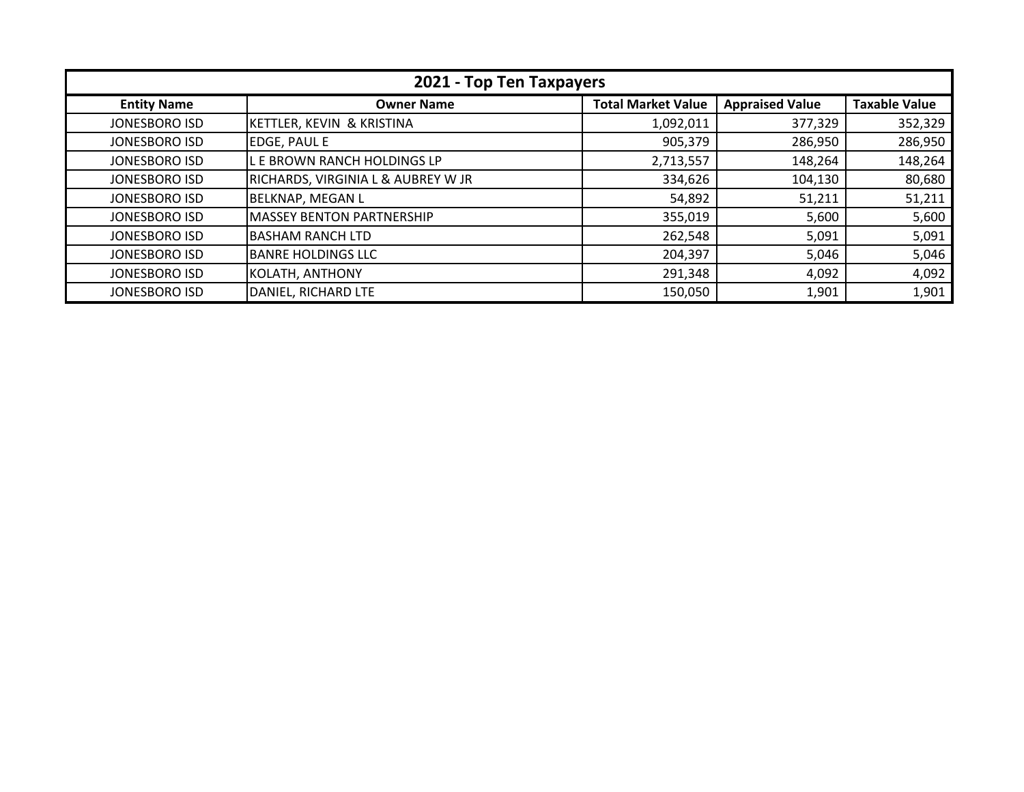| 2021 - Top Ten Taxpayers |                                    |                           |                        |                      |
|--------------------------|------------------------------------|---------------------------|------------------------|----------------------|
| <b>Entity Name</b>       | <b>Owner Name</b>                  | <b>Total Market Value</b> | <b>Appraised Value</b> | <b>Taxable Value</b> |
| JONESBORO ISD            | KETTLER, KEVIN & KRISTINA          | 1,092,011                 | 377,329                | 352,329              |
| JONESBORO ISD            | <b>EDGE, PAUL E</b>                | 905,379                   | 286,950                | 286,950              |
| JONESBORO ISD            | L E BROWN RANCH HOLDINGS LP        | 2,713,557                 | 148,264                | 148,264              |
| JONESBORO ISD            | RICHARDS, VIRGINIA L & AUBREY W JR | 334,626                   | 104,130                | 80,680               |
| JONESBORO ISD            | <b>BELKNAP, MEGAN L</b>            | 54,892                    | 51,211                 | 51,211               |
| JONESBORO ISD            | <b>MASSEY BENTON PARTNERSHIP</b>   | 355,019                   | 5,600                  | 5,600                |
| JONESBORO ISD            | BASHAM RANCH LTD                   | 262,548                   | 5,091                  | 5,091                |
| JONESBORO ISD            | <b>BANRE HOLDINGS LLC</b>          | 204,397                   | 5,046                  | 5,046                |
| JONESBORO ISD            | KOLATH, ANTHONY                    | 291,348                   | 4,092                  | 4,092                |
| <b>JONESBORO ISD</b>     | DANIEL, RICHARD LTE                | 150,050                   | 1,901                  | 1,901                |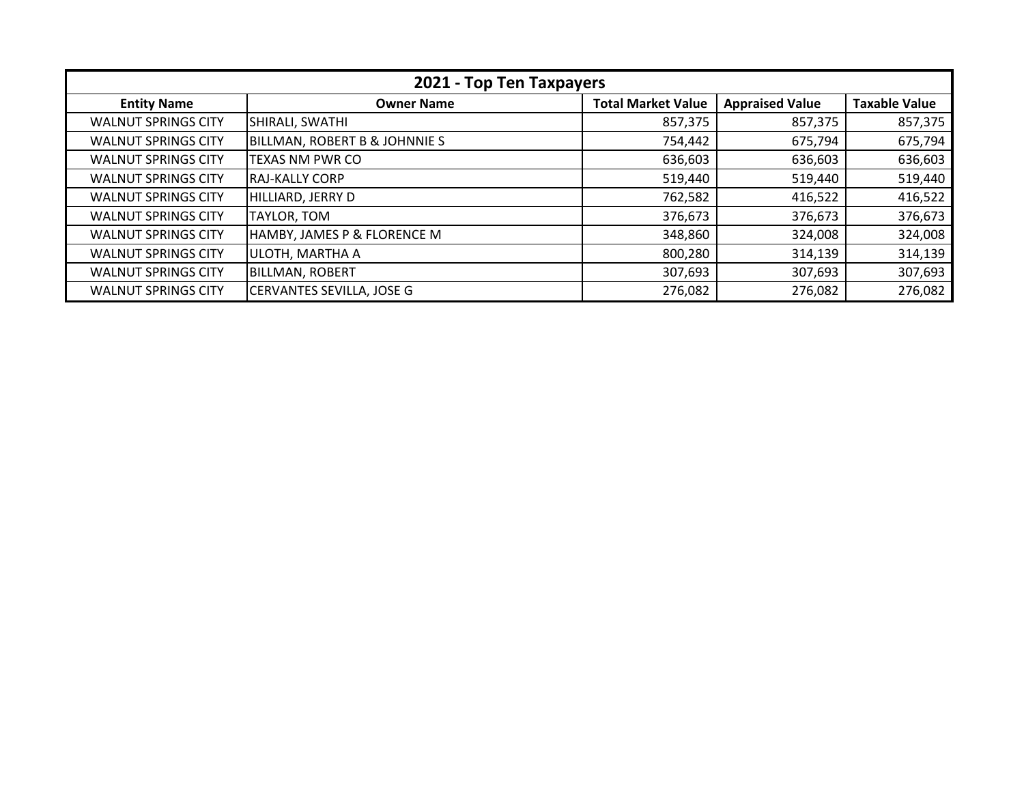| 2021 - Top Ten Taxpayers   |                               |                           |                        |                      |
|----------------------------|-------------------------------|---------------------------|------------------------|----------------------|
| <b>Entity Name</b>         | <b>Owner Name</b>             | <b>Total Market Value</b> | <b>Appraised Value</b> | <b>Taxable Value</b> |
| <b>WALNUT SPRINGS CITY</b> | SHIRALI, SWATHI               | 857,375                   | 857,375                | 857,375              |
| <b>WALNUT SPRINGS CITY</b> | BILLMAN, ROBERT B & JOHNNIE S | 754,442                   | 675,794                | 675,794              |
| <b>WALNUT SPRINGS CITY</b> | <b>TEXAS NM PWR CO</b>        | 636,603                   | 636,603                | 636,603              |
| <b>WALNUT SPRINGS CITY</b> | IRAJ-KALLY CORP               | 519,440                   | 519,440                | 519,440              |
| <b>WALNUT SPRINGS CITY</b> | HILLIARD, JERRY D             | 762,582                   | 416,522                | 416,522              |
| <b>WALNUT SPRINGS CITY</b> | TAYLOR, TOM                   | 376,673                   | 376,673                | 376,673              |
| <b>WALNUT SPRINGS CITY</b> | HAMBY, JAMES P & FLORENCE M   | 348,860                   | 324,008                | 324,008              |
| <b>WALNUT SPRINGS CITY</b> | ULOTH, MARTHA A               | 800,280                   | 314,139                | 314,139              |
| <b>WALNUT SPRINGS CITY</b> | <b>BILLMAN, ROBERT</b>        | 307,693                   | 307,693                | 307,693              |
| <b>WALNUT SPRINGS CITY</b> | CERVANTES SEVILLA, JOSE G     | 276,082                   | 276,082                | 276,082              |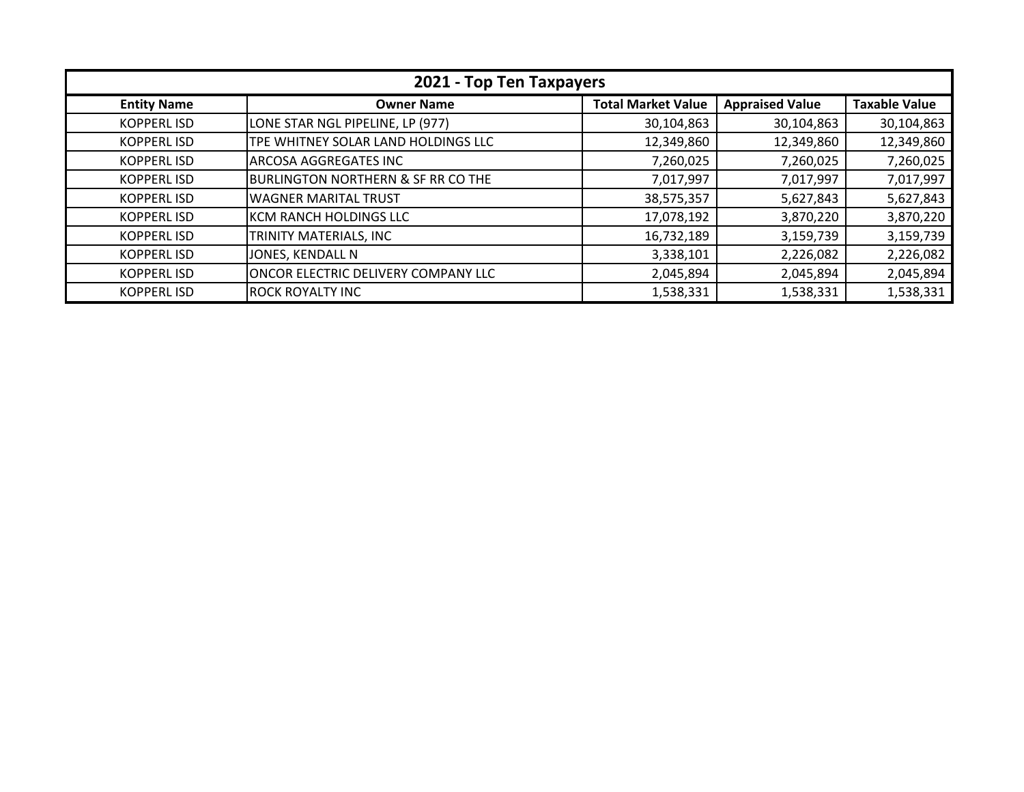| 2021 - Top Ten Taxpayers |                                               |                           |                        |                      |
|--------------------------|-----------------------------------------------|---------------------------|------------------------|----------------------|
| <b>Entity Name</b>       | <b>Owner Name</b>                             | <b>Total Market Value</b> | <b>Appraised Value</b> | <b>Taxable Value</b> |
| <b>KOPPERL ISD</b>       | LONE STAR NGL PIPELINE, LP (977)              | 30,104,863                | 30,104,863             | 30,104,863           |
| <b>KOPPERLISD</b>        | TPE WHITNEY SOLAR LAND HOLDINGS LLC           | 12,349,860                | 12,349,860             | 12,349,860           |
| <b>KOPPERLISD</b>        | <b>ARCOSA AGGREGATES INC</b>                  | 7,260,025                 | 7,260,025              | 7,260,025            |
| <b>KOPPERL ISD</b>       | <b>BURLINGTON NORTHERN &amp; SF RR CO THE</b> | 7,017,997                 | 7,017,997              | 7,017,997            |
| <b>KOPPERLISD</b>        | <b>WAGNER MARITAL TRUST</b>                   | 38,575,357                | 5,627,843              | 5,627,843            |
| <b>KOPPERLISD</b>        | KCM RANCH HOLDINGS LLC                        | 17,078,192                | 3,870,220              | 3,870,220            |
| <b>KOPPERLISD</b>        | TRINITY MATERIALS, INC                        | 16,732,189                | 3,159,739              | 3,159,739            |
| <b>KOPPERLISD</b>        | JONES, KENDALL N                              | 3,338,101                 | 2,226,082              | 2,226,082            |
| <b>KOPPERLISD</b>        | ONCOR ELECTRIC DELIVERY COMPANY LLC           | 2,045,894                 | 2,045,894              | 2,045,894            |
| <b>KOPPERL ISD</b>       | <b>ROCK ROYALTY INC</b>                       | 1,538,331                 | 1,538,331              | 1,538,331            |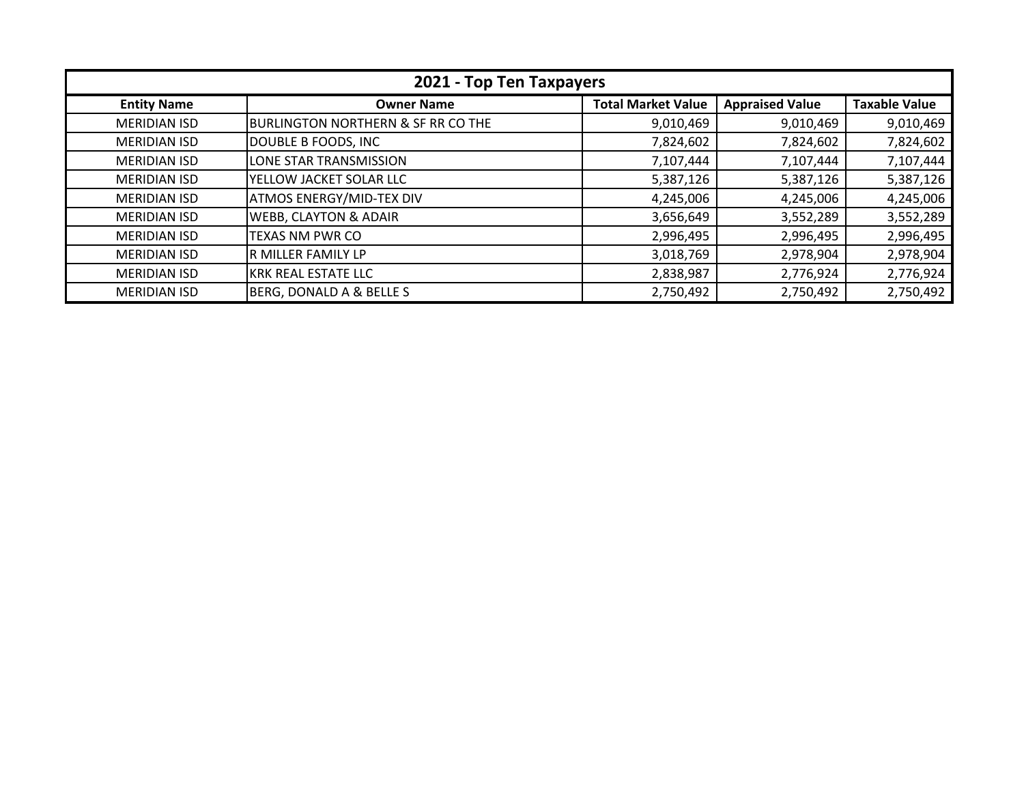| 2021 - Top Ten Taxpayers |                                               |                           |                        |                      |
|--------------------------|-----------------------------------------------|---------------------------|------------------------|----------------------|
| <b>Entity Name</b>       | <b>Owner Name</b>                             | <b>Total Market Value</b> | <b>Appraised Value</b> | <b>Taxable Value</b> |
| <b>MERIDIAN ISD</b>      | <b>BURLINGTON NORTHERN &amp; SF RR CO THE</b> | 9,010,469                 | 9,010,469              | 9,010,469            |
| <b>MERIDIAN ISD</b>      | DOUBLE B FOODS, INC                           | 7,824,602                 | 7,824,602              | 7,824,602            |
| <b>MERIDIAN ISD</b>      | LONE STAR TRANSMISSION                        | 7,107,444                 | 7,107,444              | 7,107,444            |
| <b>MERIDIAN ISD</b>      | YELLOW JACKET SOLAR LLC                       | 5,387,126                 | 5,387,126              | 5,387,126            |
| <b>MERIDIAN ISD</b>      | <b>ATMOS ENERGY/MID-TEX DIV</b>               | 4,245,006                 | 4,245,006              | 4,245,006            |
| <b>MERIDIAN ISD</b>      | WEBB, CLAYTON & ADAIR                         | 3,656,649                 | 3,552,289              | 3,552,289            |
| <b>MERIDIAN ISD</b>      | TEXAS NM PWR CO                               | 2,996,495                 | 2,996,495              | 2,996,495            |
| <b>MERIDIAN ISD</b>      | R MILLER FAMILY LP                            | 3,018,769                 | 2,978,904              | 2,978,904            |
| <b>MERIDIAN ISD</b>      | <b>KRK REAL ESTATE LLC</b>                    | 2,838,987                 | 2,776,924              | 2,776,924            |
| <b>MERIDIAN ISD</b>      | BERG, DONALD A & BELLE S                      | 2,750,492                 | 2,750,492              | 2,750,492            |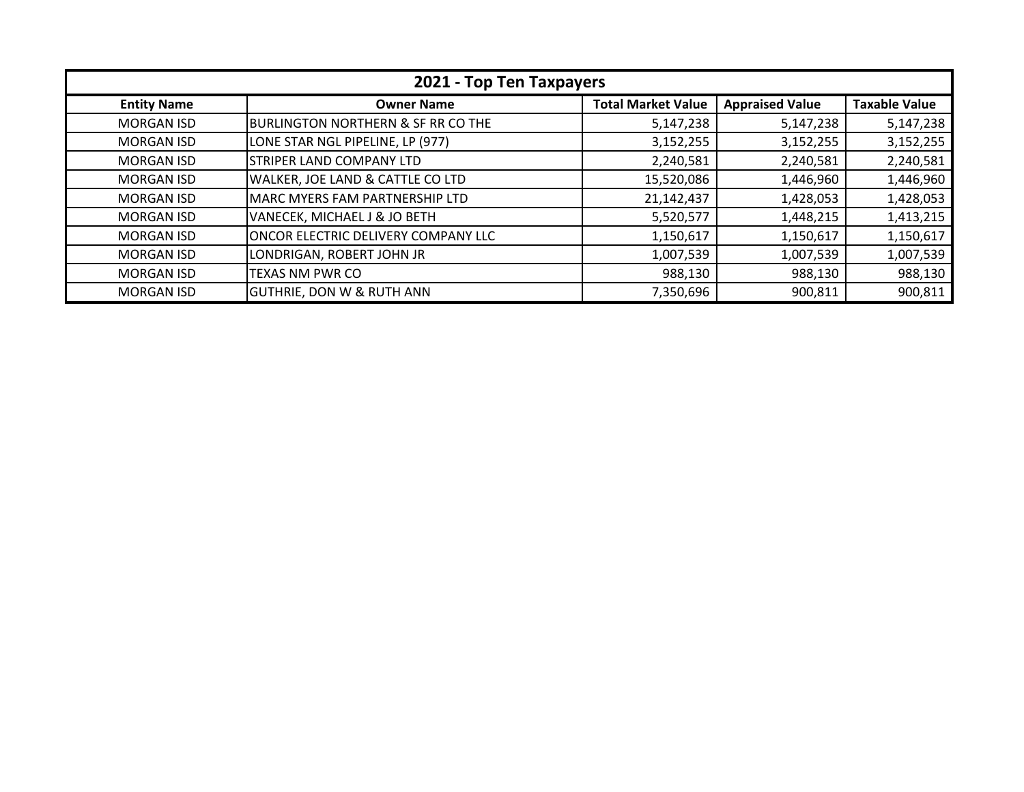| 2021 - Top Ten Taxpayers |                                       |                           |                        |                      |
|--------------------------|---------------------------------------|---------------------------|------------------------|----------------------|
| <b>Entity Name</b>       | <b>Owner Name</b>                     | <b>Total Market Value</b> | <b>Appraised Value</b> | <b>Taxable Value</b> |
| <b>MORGAN ISD</b>        | BURLINGTON NORTHERN & SF RR CO THE    | 5,147,238                 | 5,147,238              | 5,147,238            |
| <b>MORGAN ISD</b>        | LONE STAR NGL PIPELINE, LP (977)      | 3,152,255                 | 3,152,255              | 3,152,255            |
| <b>MORGAN ISD</b>        | <b>STRIPER LAND COMPANY LTD</b>       | 2,240,581                 | 2,240,581              | 2,240,581            |
| <b>MORGAN ISD</b>        | WALKER, JOE LAND & CATTLE CO LTD      | 15,520,086                | 1,446,960              | 1,446,960            |
| <b>MORGAN ISD</b>        | <b>MARC MYERS FAM PARTNERSHIP LTD</b> | 21,142,437                | 1,428,053              | 1,428,053            |
| <b>MORGAN ISD</b>        | VANECEK, MICHAEL J & JO BETH          | 5,520,577                 | 1,448,215              | 1,413,215            |
| <b>MORGAN ISD</b>        | ONCOR ELECTRIC DELIVERY COMPANY LLC   | 1,150,617                 | 1,150,617              | 1,150,617            |
| <b>MORGAN ISD</b>        | LONDRIGAN, ROBERT JOHN JR             | 1,007,539                 | 1,007,539              | 1,007,539            |
| <b>MORGAN ISD</b>        | <b>TEXAS NM PWR CO</b>                | 988,130                   | 988,130                | 988,130              |
| <b>MORGAN ISD</b>        | <b>GUTHRIE, DON W &amp; RUTH ANN</b>  | 7,350,696                 | 900,811                | 900,811              |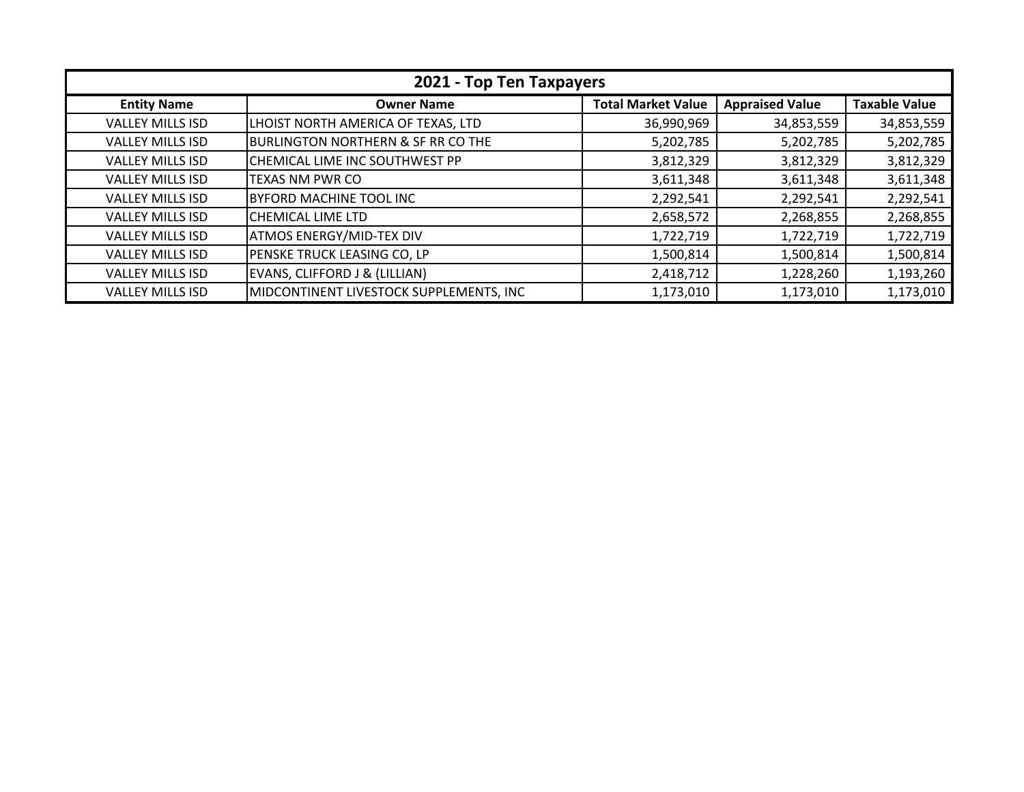| 2021 - Top Ten Taxpayers |                                               |                           |                        |                      |
|--------------------------|-----------------------------------------------|---------------------------|------------------------|----------------------|
| <b>Entity Name</b>       | <b>Owner Name</b>                             | <b>Total Market Value</b> | <b>Appraised Value</b> | <b>Taxable Value</b> |
| <b>VALLEY MILLS ISD</b>  | LHOIST NORTH AMERICA OF TEXAS, LTD            | 36,990,969                | 34,853,559             | 34,853,559           |
| <b>VALLEY MILLS ISD</b>  | <b>BURLINGTON NORTHERN &amp; SF RR CO THE</b> | 5,202,785                 | 5,202,785              | 5,202,785            |
| <b>VALLEY MILLS ISD</b>  | CHEMICAL LIME INC SOUTHWEST PP                | 3,812,329                 | 3,812,329              | 3,812,329            |
| <b>VALLEY MILLS ISD</b>  | <b>TEXAS NM PWR CO</b>                        | 3,611,348                 | 3,611,348              | 3,611,348            |
| <b>VALLEY MILLS ISD</b>  | <b>BYFORD MACHINE TOOL INC</b>                | 2,292,541                 | 2,292,541              | 2,292,541            |
| <b>VALLEY MILLS ISD</b>  | CHEMICAL LIME LTD                             | 2,658,572                 | 2,268,855              | 2,268,855            |
| <b>VALLEY MILLS ISD</b>  | <b>ATMOS ENERGY/MID-TEX DIV</b>               | 1,722,719                 | 1,722,719              | 1,722,719            |
| <b>VALLEY MILLS ISD</b>  | PENSKE TRUCK LEASING CO, LP                   | 1,500,814                 | 1,500,814              | 1,500,814            |
| <b>VALLEY MILLS ISD</b>  | EVANS, CLIFFORD J & (LILLIAN)                 | 2,418,712                 | 1,228,260              | 1,193,260            |
| <b>VALLEY MILLS ISD</b>  | MIDCONTINENT LIVESTOCK SUPPLEMENTS, INC       | 1,173,010                 | 1,173,010              | 1,173,010            |